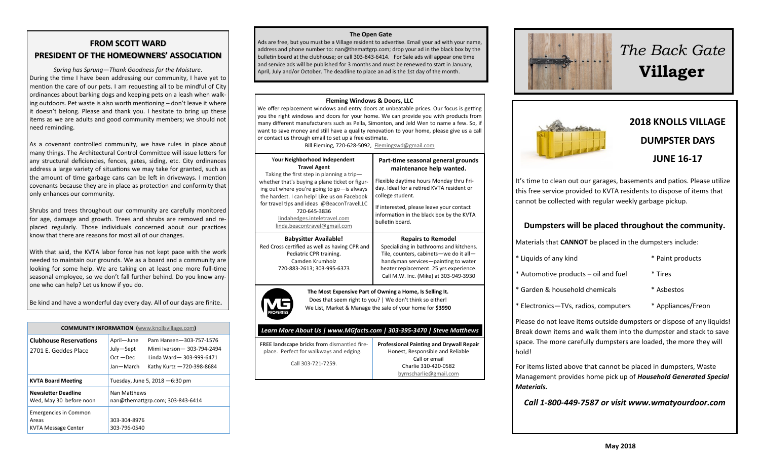# **FROM SCOTT WARD PRESIDENT OF THE HOMEOWNERS' ASSOCIATION**

*Spring has Sprung—Thank Goodness for the Moisture*. During the time I have been addressing our community, I have yet to mention the care of our pets. I am requesting all to be mindful of City ordinances about barking dogs and keeping pets on a leash when walk ing outdoors. Pet waste is also worth mentioning – don't leave it where it doesn't belong. Please and thank you. I hesitate to bring up these items as we are adults and good community members; we should not need reminding.

As a covenant controlled community, we have rules in place about many things. The Architectural Control Committee will issue letters for any structural deficiencies, fences, gates, siding, etc. City ordinances address a large variety of situations we may take for granted, such as the amount of time garbage cans can be left in driveways. I mention covenants because they are in place as protection and conformity that only enhances our community.

Shrubs and trees throughout our community are carefully monitored for age, damage and growth. Trees and shrubs are removed and re placed regularly. Those individuals concerned about our practices know that there are reasons for most all of our changes.

With that said, the KVTA labor force has not kept pace with the work needed to maintain our grounds. We as a board and a community are looking for some help. We are taking on at least one more full-time seasonal employee, so we don't fall further behind. Do you know any one who can help? Let us know if you do.

Be kind and have a wonderful day every day. All of our days are finite.

| <b>COMMUNITY INFORMATION</b> (www.knollsvillage.com)         |                                                     |                                                                                                                |  |
|--------------------------------------------------------------|-----------------------------------------------------|----------------------------------------------------------------------------------------------------------------|--|
| <b>Clubhouse Reservations</b><br>2701 E. Geddes Place        | April-June<br>July-Sept<br>$Oct - Dec$<br>Jan-March | Pam Hansen-303-757-1576<br>Mimi Iverson - 303-794-2494<br>Linda Ward-303-999-6471<br>Kathy Kurtz -720-398-8684 |  |
| <b>KVTA Board Meeting</b>                                    | Tuesday, June 5, 2018 - 6:30 pm                     |                                                                                                                |  |
| Newsletter Deadline<br>Wed, May 30 before noon               | Nan Matthews<br>nan@themattgrp.com; 303-843-6414    |                                                                                                                |  |
| <b>Emergencies in Common</b><br>Areas<br>KVTA Message Center | 303-304-8976<br>303-796-0540                        |                                                                                                                |  |

#### **The Open Gate**

Ads are free, but you must be a Village resident to advertise. Email your ad with your name, address and phone number to: nan@themattgrp.com; drop your ad in the black box by the bulletin board at the clubhouse; or call 303-843-6414. For Sale ads will appear one time and service ads will be published for 3 months and must be renewed to start in January, April, July and/or October. The deadline to place an ad is the 1st day of the month.

#### **Fleming Windows & Doors, LLC**

We offer replacement windows and entry doors at unbeatable prices. Our focus is getting you the right windows and doors for your home. We can provide you with products from many different manufacturers such as Pella, Simonton, and Jeld Wen to name a few. So, if want to save money and still have a quality renovation to your home, please give us a call or contact us through email to set up a free estimate.

Bill Fleming, 720-628-5092, [Flemingswd@gmail.com](mailto:Flemingswd@gmail.com)

| Your Neighborhood Independent<br><b>Travel Agent</b><br>Taking the first step in planning a trip-                                                         | Part-time seasonal general grounds<br>maintenance help wanted.                                                                                                                                                                           |  |  |
|-----------------------------------------------------------------------------------------------------------------------------------------------------------|------------------------------------------------------------------------------------------------------------------------------------------------------------------------------------------------------------------------------------------|--|--|
| whether that's buying a plane ticket or figur-<br>ing out where you're going to go-is always<br>the hardest. I can help! Like us on Facebook              | Flexible daytime hours Monday thru Fri-<br>day. Ideal for a retired KVTA resident or<br>college student.                                                                                                                                 |  |  |
| for travel tips and ideas @BeaconTravelLLC<br>720-645-3836<br>lindahedges.inteletravel.com<br>linda.beacontravel@gmail.com                                | If interested, please leave your contact<br>information in the black box by the KVTA<br>bulletin board.                                                                                                                                  |  |  |
| <b>Babysitter Available!</b><br>Red Cross certified as well as having CPR and<br>Pediatric CPR training.<br>Camden Krumholz<br>720-883-2613; 303-995-6373 | <b>Repairs to Remodel</b><br>Specializing in bathrooms and kitchens.<br>Tile, counters, cabinets-we do it all-<br>handyman services-painting to water<br>heater replacement. 25 yrs experience.<br>Call M.W. Inc. (Mike) at 303-949-3930 |  |  |
| The Most Expensive Part of Owning a Home, Is Selling It.<br>Does that seem right to you?   We don't think so either!                                      |                                                                                                                                                                                                                                          |  |  |

Does that seem right to you? | We don't think so either! We List, Market & Manage the sale of your home for **\$3990**

### *Learn More About Us | www.MGfacts.com | 303-395-3470 | Steve Matthews*

| <b>FREE landscape bricks from dismantled fire-</b> | <b>Professional Painting and Drywall Repair</b> |
|----------------------------------------------------|-------------------------------------------------|
| place. Perfect for walkways and edging.            | Honest, Responsible and Reliable                |
|                                                    | Call or email                                   |
| Call 303-721-7259.                                 | Charlie 310-420-0582                            |
|                                                    | byrnscharlie@gmail.com                          |



# *The Back Gate*  **Villager**



# **2018 KNOLLS VILLAGE DUMPSTER DAYS JUNE 16-17**

It's time to clean out our garages, basements and patios. Please utilize this free service provided to KVTA residents to dispose of items that cannot be collected with regular weekly garbage pickup.

# **Dumpsters will be placed throughout the community.**

Materials that **CANNOT** be placed in the dumpsters include:

- \* Liquids of any kind \* Paint products
	-
- \* Automotive products oil and fuel \* Tires
- \* Garden & household chemicals \* Asbestos
	-
- \* Electronics—TVs, radios, computers \* Appliances/Freon

Please do not leave items outside dumpsters or dispose of any liquids! Break down items and walk them into the dumpster and stack to save space. The more carefully dumpsters are loaded, the more they will hold!

For items listed above that cannot be placed in dumpsters, Waste Management provides home pick up of *Household Generated Special Materials.* 

*Call 1-800-449-7587 or visit www.wmatyourdoor.com*